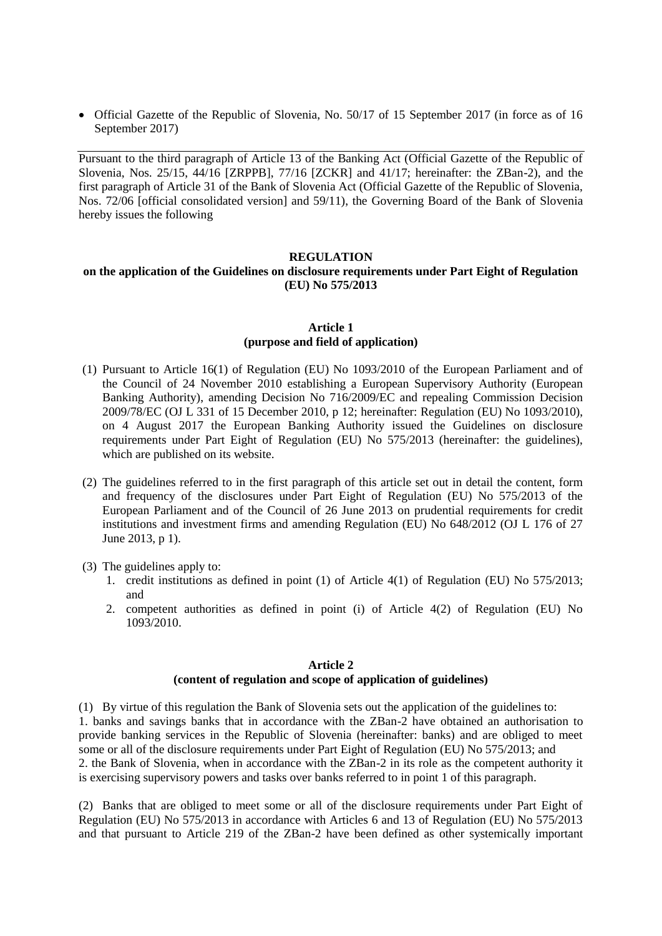Official Gazette of the Republic of Slovenia, No. 50/17 of 15 September 2017 (in force as of 16 September 2017)

Pursuant to the third paragraph of Article 13 of the Banking Act (Official Gazette of the Republic of Slovenia, Nos. 25/15, 44/16 [ZRPPB], 77/16 [ZCKR] and 41/17; hereinafter: the ZBan-2), and the first paragraph of Article 31 of the Bank of Slovenia Act (Official Gazette of the Republic of Slovenia, Nos. 72/06 [official consolidated version] and 59/11), the Governing Board of the Bank of Slovenia hereby issues the following

#### **REGULATION**

### **on the application of the Guidelines on disclosure requirements under Part Eight of Regulation (EU) No 575/2013**

### **Article 1 (purpose and field of application)**

- (1) Pursuant to Article 16(1) of Regulation (EU) No 1093/2010 of the European Parliament and of the Council of 24 November 2010 establishing a European Supervisory Authority (European Banking Authority), amending Decision No 716/2009/EC and repealing Commission Decision 2009/78/EC (OJ L 331 of 15 December 2010, p 12; hereinafter: Regulation (EU) No 1093/2010), on 4 August 2017 the European Banking Authority issued the Guidelines on disclosure requirements under Part Eight of Regulation (EU) No 575/2013 (hereinafter: the guidelines), which are published on its website.
- (2) The guidelines referred to in the first paragraph of this article set out in detail the content, form and frequency of the disclosures under Part Eight of Regulation (EU) No 575/2013 of the European Parliament and of the Council of 26 June 2013 on prudential requirements for credit institutions and investment firms and amending Regulation (EU) No 648/2012 (OJ L 176 of 27 June 2013, p 1).
- (3) The guidelines apply to:
	- 1. credit institutions as defined in point (1) of Article 4(1) of Regulation (EU) No 575/2013; and
	- 2. competent authorities as defined in point (i) of Article 4(2) of Regulation (EU) No 1093/2010.

## **Article 2 (content of regulation and scope of application of guidelines)**

(1) By virtue of this regulation the Bank of Slovenia sets out the application of the guidelines to: 1. banks and savings banks that in accordance with the ZBan-2 have obtained an authorisation to provide banking services in the Republic of Slovenia (hereinafter: banks) and are obliged to meet some or all of the disclosure requirements under Part Eight of Regulation (EU) No 575/2013; and 2. the Bank of Slovenia, when in accordance with the ZBan-2 in its role as the competent authority it is exercising supervisory powers and tasks over banks referred to in point 1 of this paragraph.

(2) Banks that are obliged to meet some or all of the disclosure requirements under Part Eight of Regulation (EU) No 575/2013 in accordance with Articles 6 and 13 of Regulation (EU) No 575/2013 and that pursuant to Article 219 of the ZBan-2 have been defined as other systemically important